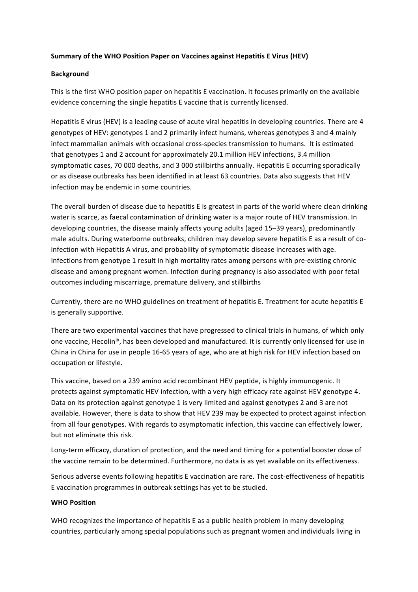## **Summary of the WHO Position Paper on Vaccines against Hepatitis E Virus (HEV)**

## **Background**

This is the first WHO position paper on hepatitis E vaccination. It focuses primarily on the available evidence concerning the single hepatitis E vaccine that is currently licensed.

Hepatitis E virus (HEV) is a leading cause of acute viral hepatitis in developing countries. There are 4 genotypes of HEV: genotypes 1 and 2 primarily infect humans, whereas genotypes 3 and 4 mainly infect mammalian animals with occasional cross-species transmission to humans. It is estimated that genotypes 1 and 2 account for approximately 20.1 million HEV infections, 3.4 million symptomatic cases, 70 000 deaths, and 3 000 stillbirths annually. Hepatitis E occurring sporadically or as disease outbreaks has been identified in at least 63 countries. Data also suggests that HEV infection may be endemic in some countries.

The overall burden of disease due to hepatitis E is greatest in parts of the world where clean drinking water is scarce, as faecal contamination of drinking water is a major route of HEV transmission. In developing countries, the disease mainly affects young adults (aged 15–39 years), predominantly male adults. During waterborne outbreaks, children may develop severe hepatitis E as a result of coinfection with Hepatitis A virus, and probability of symptomatic disease increases with age. Infections from genotype 1 result in high mortality rates among persons with pre-existing chronic disease and among pregnant women. Infection during pregnancy is also associated with poor fetal outcomes including miscarriage, premature delivery, and stillbirths

Currently, there are no WHO guidelines on treatment of hepatitis E. Treatment for acute hepatitis E is generally supportive.

There are two experimental vaccines that have progressed to clinical trials in humans, of which only one vaccine, Hecolin®, has been developed and manufactured. It is currently only licensed for use in China in China for use in people 16-65 years of age, who are at high risk for HEV infection based on occupation or lifestyle.

This vaccine, based on a 239 amino acid recombinant HEV peptide, is highly immunogenic. It protects against symptomatic HEV infection, with a very high efficacy rate against HEV genotype 4. Data on its protection against genotype 1 is very limited and against genotypes 2 and 3 are not available. However, there is data to show that HEV 239 may be expected to protect against infection from all four genotypes. With regards to asymptomatic infection, this vaccine can effectively lower, but not eliminate this risk.

Long-term efficacy, duration of protection, and the need and timing for a potential booster dose of the vaccine remain to be determined. Furthermore, no data is as yet available on its effectiveness.

Serious adverse events following hepatitis E vaccination are rare. The cost-effectiveness of hepatitis E vaccination programmes in outbreak settings has yet to be studied.

## **WHO** Position

WHO recognizes the importance of hepatitis E as a public health problem in many developing countries, particularly among special populations such as pregnant women and individuals living in